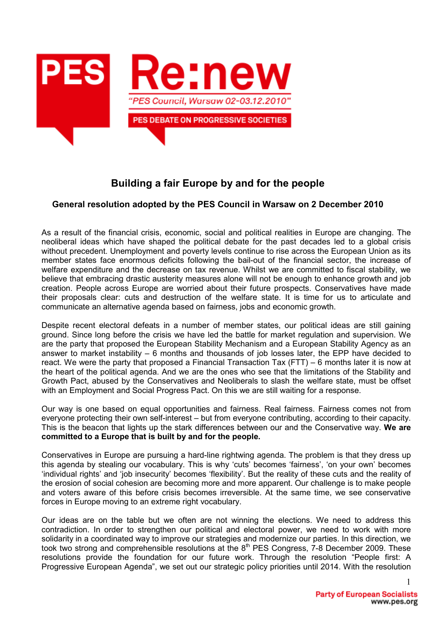

# **Building a fair Europe by and for the people**

## **General resolution adopted by the PES Council in Warsaw on 2 December 2010**

As a result of the financial crisis, economic, social and political realities in Europe are changing. The neoliberal ideas which have shaped the political debate for the past decades led to a global crisis without precedent. Unemployment and poverty levels continue to rise across the European Union as its member states face enormous deficits following the bail-out of the financial sector, the increase of welfare expenditure and the decrease on tax revenue. Whilst we are committed to fiscal stability, we believe that embracing drastic austerity measures alone will not be enough to enhance growth and job creation. People across Europe are worried about their future prospects. Conservatives have made their proposals clear: cuts and destruction of the welfare state. It is time for us to articulate and communicate an alternative agenda based on fairness, jobs and economic growth.

Despite recent electoral defeats in a number of member states, our political ideas are still gaining ground. Since long before the crisis we have led the battle for market regulation and supervision. We are the party that proposed the European Stability Mechanism and a European Stability Agency as an answer to market instability – 6 months and thousands of job losses later, the EPP have decided to react. We were the party that proposed a Financial Transaction Tax (FTT) – 6 months later it is now at the heart of the political agenda. And we are the ones who see that the limitations of the Stability and Growth Pact, abused by the Conservatives and Neoliberals to slash the welfare state, must be offset with an Employment and Social Progress Pact. On this we are still waiting for a response.

Our way is one based on equal opportunities and fairness. Real fairness. Fairness comes not from everyone protecting their own self-interest – but from everyone contributing, according to their capacity. This is the beacon that lights up the stark differences between our and the Conservative way. **We are committed to a Europe that is built by and for the people.** 

Conservatives in Europe are pursuing a hard-line rightwing agenda. The problem is that they dress up this agenda by stealing our vocabulary. This is why 'cuts' becomes 'fairness', 'on your own' becomes 'individual rights' and 'job insecurity' becomes 'flexibility'. But the reality of these cuts and the reality of the erosion of social cohesion are becoming more and more apparent. Our challenge is to make people and voters aware of this before crisis becomes irreversible. At the same time, we see conservative forces in Europe moving to an extreme right vocabulary.

Our ideas are on the table but we often are not winning the elections. We need to address this contradiction. In order to strengthen our political and electoral power, we need to work with more solidarity in a coordinated way to improve our strategies and modernize our parties. In this direction, we took two strong and comprehensible resolutions at the  $8<sup>th</sup>$  PES Congress, 7-8 December 2009. These resolutions provide the foundation for our future work. Through the resolution "People first: A Progressive European Agenda", we set out our strategic policy priorities until 2014. With the resolution

1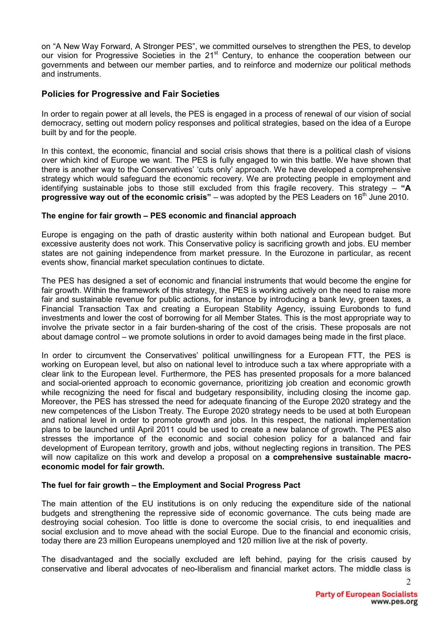on "A New Way Forward, A Stronger PES", we committed ourselves to strengthen the PES, to develop our vision for Progressive Societies in the 21<sup>st</sup> Century, to enhance the cooperation between our governments and between our member parties, and to reinforce and modernize our political methods and instruments.

## **Policies for Progressive and Fair Societies**

In order to regain power at all levels, the PES is engaged in a process of renewal of our vision of social democracy, setting out modern policy responses and political strategies, based on the idea of a Europe built by and for the people.

In this context, the economic, financial and social crisis shows that there is a political clash of visions over which kind of Europe we want. The PES is fully engaged to win this battle. We have shown that there is another way to the Conservatives' 'cuts only' approach. We have developed a comprehensive strategy which would safeguard the economic recovery. We are protecting people in employment and identifying sustainable jobs to those still excluded from this fragile recovery. This strategy – **"A progressive way out of the economic crisis"** – was adopted by the PES Leaders on 16<sup>th</sup> June 2010.

#### **The engine for fair growth – PES economic and financial approach**

Europe is engaging on the path of drastic austerity within both national and European budget. But excessive austerity does not work. This Conservative policy is sacrificing growth and jobs. EU member states are not gaining independence from market pressure. In the Eurozone in particular, as recent events show, financial market speculation continues to dictate.

The PES has designed a set of economic and financial instruments that would become the engine for fair growth. Within the framework of this strategy, the PES is working actively on the need to raise more fair and sustainable revenue for public actions, for instance by introducing a bank levy, green taxes, a Financial Transaction Tax and creating a European Stability Agency, issuing Eurobonds to fund investments and lower the cost of borrowing for all Member States. This is the most appropriate way to involve the private sector in a fair burden-sharing of the cost of the crisis. These proposals are not about damage control – we promote solutions in order to avoid damages being made in the first place.

In order to circumvent the Conservatives' political unwillingness for a European FTT, the PES is working on European level, but also on national level to introduce such a tax where appropriate with a clear link to the European level. Furthermore, the PES has presented proposals for a more balanced and social-oriented approach to economic governance, prioritizing job creation and economic growth while recognizing the need for fiscal and budgetary responsibility, including closing the income gap. Moreover, the PES has stressed the need for adequate financing of the Europe 2020 strategy and the new competences of the Lisbon Treaty. The Europe 2020 strategy needs to be used at both European and national level in order to promote growth and jobs. In this respect, the national implementation plans to be launched until April 2011 could be used to create a new balance of growth. The PES also stresses the importance of the economic and social cohesion policy for a balanced and fair development of European territory, growth and jobs, without neglecting regions in transition. The PES will now capitalize on this work and develop a proposal on **a comprehensive sustainable macroeconomic model for fair growth.**

#### **The fuel for fair growth – the Employment and Social Progress Pact**

The main attention of the EU institutions is on only reducing the expenditure side of the national budgets and strengthening the repressive side of economic governance. The cuts being made are destroying social cohesion. Too little is done to overcome the social crisis, to end inequalities and social exclusion and to move ahead with the social Europe. Due to the financial and economic crisis, today there are 23 million Europeans unemployed and 120 million live at the risk of poverty.

The disadvantaged and the socially excluded are left behind, paying for the crisis caused by conservative and liberal advocates of neo-liberalism and financial market actors. The middle class is

 $\mathfrak{D}$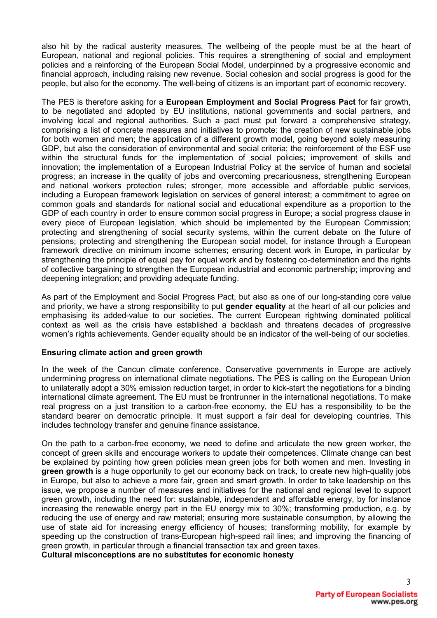also hit by the radical austerity measures. The wellbeing of the people must be at the heart of European, national and regional policies. This requires a strengthening of social and employment policies and a reinforcing of the European Social Model, underpinned by a progressive economic and financial approach, including raising new revenue. Social cohesion and social progress is good for the people, but also for the economy. The well-being of citizens is an important part of economic recovery.

The PES is therefore asking for a **European Employment and Social Progress Pact** for fair growth, to be negotiated and adopted by EU institutions, national governments and social partners, and involving local and regional authorities. Such a pact must put forward a comprehensive strategy, comprising a list of concrete measures and initiatives to promote: the creation of new sustainable jobs for both women and men; the application of a different growth model, going beyond solely measuring GDP, but also the consideration of environmental and social criteria; the reinforcement of the ESF use within the structural funds for the implementation of social policies; improvement of skills and innovation; the implementation of a European Industrial Policy at the service of human and societal progress; an increase in the quality of jobs and overcoming precariousness, strengthening European and national workers protection rules; stronger, more accessible and affordable public services, including a European framework legislation on services of general interest; a commitment to agree on common goals and standards for national social and educational expenditure as a proportion to the GDP of each country in order to ensure common social progress in Europe; a social progress clause in every piece of European legislation, which should be implemented by the European Commission; protecting and strengthening of social security systems, within the current debate on the future of pensions; protecting and strengthening the European social model, for instance through a European framework directive on minimum income schemes; ensuring decent work in Europe, in particular by strengthening the principle of equal pay for equal work and by fostering co-determination and the rights of collective bargaining to strengthen the European industrial and economic partnership; improving and deepening integration; and providing adequate funding.

As part of the Employment and Social Progress Pact, but also as one of our long-standing core value and priority, we have a strong responsibility to put **gender equality** at the heart of all our policies and emphasising its added-value to our societies. The current European rightwing dominated political context as well as the crisis have established a backlash and threatens decades of progressive women's rights achievements. Gender equality should be an indicator of the well-being of our societies.

#### **Ensuring climate action and green growth**

In the week of the Cancun climate conference, Conservative governments in Europe are actively undermining progress on international climate negotiations. The PES is calling on the European Union to unilaterally adopt a 30% emission reduction target, in order to kick-start the negotiations for a binding international climate agreement. The EU must be frontrunner in the international negotiations. To make real progress on a just transition to a carbon-free economy, the EU has a responsibility to be the standard bearer on democratic principle. It must support a fair deal for developing countries. This includes technology transfer and genuine finance assistance.

On the path to a carbon-free economy, we need to define and articulate the new green worker, the concept of green skills and encourage workers to update their competences. Climate change can best be explained by pointing how green policies mean green jobs for both women and men. Investing in **green growth** is a huge opportunity to get our economy back on track, to create new high-quality jobs in Europe, but also to achieve a more fair, green and smart growth. In order to take leadership on this issue, we propose a number of measures and initiatives for the national and regional level to support green growth, including the need for: sustainable, independent and affordable energy, by for instance increasing the renewable energy part in the EU energy mix to 30%; transforming production, e.g. by reducing the use of energy and raw material; ensuring more sustainable consumption, by allowing the use of state aid for increasing energy efficiency of houses; transforming mobility, for example by speeding up the construction of trans-European high-speed rail lines; and improving the financing of green growth, in particular through a financial transaction tax and green taxes.

**Cultural misconceptions are no substitutes for economic honesty**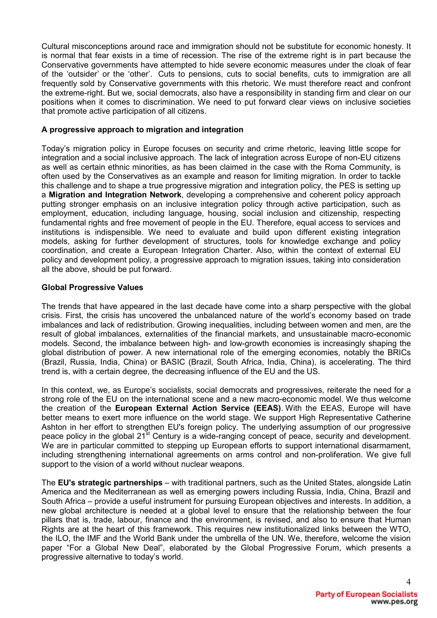Cultural misconceptions around race and immigration should not be substitute for economic honesty. It is normal that fear exists in a time of recession. The rise of the extreme right is in part because the Conservative governments have attempted to hide severe economic measures under the cloak of fear of the 'outsider' or the 'other'. Cuts to pensions, cuts to social benefits, cuts to immigration are all frequently sold by Conservative governments with this rhetoric. We must therefore react and confront the extreme-right. But we, social democrats, also have a responsibility in standing firm and clear on our positions when it comes to discrimination. We need to put forward clear views on inclusive societies that promote active participation of all citizens.

#### **A progressive approach to migration and integration**

Today's migration policy in Europe focuses on security and crime rhetoric, leaving little scope for integration and a social inclusive approach. The lack of integration across Europe of non-EU citizens as well as certain ethnic minorities, as has been claimed in the case with the Roma Community, is often used by the Conservatives as an example and reason for limiting migration. In order to tackle this challenge and to shape a true progressive migration and integration policy, the PES is setting up a **Migration and Integration Network**, developing a comprehensive and coherent policy approach putting stronger emphasis on an inclusive integration policy through active participation, such as employment, education, including language, housing, social inclusion and citizenship, respecting fundamental rights and free movement of people in the EU. Therefore, equal access to services and institutions is indispensible. We need to evaluate and build upon different existing integration models, asking for further development of structures, tools for knowledge exchange and policy coordination, and create a European Integration Charter. Also, within the context of external EU policy and development policy, a progressive approach to migration issues, taking into consideration all the above, should be put forward.

#### **Global Progressive Values**

The trends that have appeared in the last decade have come into a sharp perspective with the global crisis. First, the crisis has uncovered the unbalanced nature of the world's economy based on trade imbalances and lack of redistribution. Growing inequalities, including between women and men, are the result of global imbalances, externalities of the financial markets, and unsustainable macro-economic models. Second, the imbalance between high- and low-growth economies is increasingly shaping the global distribution of power. A new international role of the emerging economies, notably the BRICs (Brazil, Russia, India, China) or BASIC (Brazil, South Africa, India, China), is accelerating. The third trend is, with a certain degree, the decreasing influence of the EU and the US.

In this context, we, as Europe's socialists, social democrats and progressives, reiterate the need for a strong role of the EU on the international scene and a new macro-economic model. We thus welcome the creation of the **European External Action Service (EEAS)**. With the EEAS, Europe will have better means to exert more influence on the world stage. We support High Representative Catherine Ashton in her effort to strengthen EU's foreign policy. The underlying assumption of our progressive peace policy in the global  $21^{st}$  Century is a wide-ranging concept of peace, security and development. We are in particular committed to stepping up European efforts to support international disarmament, including strengthening international agreements on arms control and non-proliferation. We give full support to the vision of a world without nuclear weapons.

The **EU's strategic partnerships** – with traditional partners, such as the United States, alongside Latin America and the Mediterranean as well as emerging powers including Russia, India, China, Brazil and South Africa – provide a useful instrument for pursuing European objectives and interests. In addition, a new global architecture is needed at a global level to ensure that the relationship between the four pillars that is, trade, labour, finance and the environment, is revised, and also to ensure that Human Rights are at the heart of this framework. This requires new institutionalized links between the WTO, the ILO, the IMF and the World Bank under the umbrella of the UN. We, therefore, welcome the vision paper "For a Global New Deal", elaborated by the Global Progressive Forum, which presents a progressive alternative to today's world.